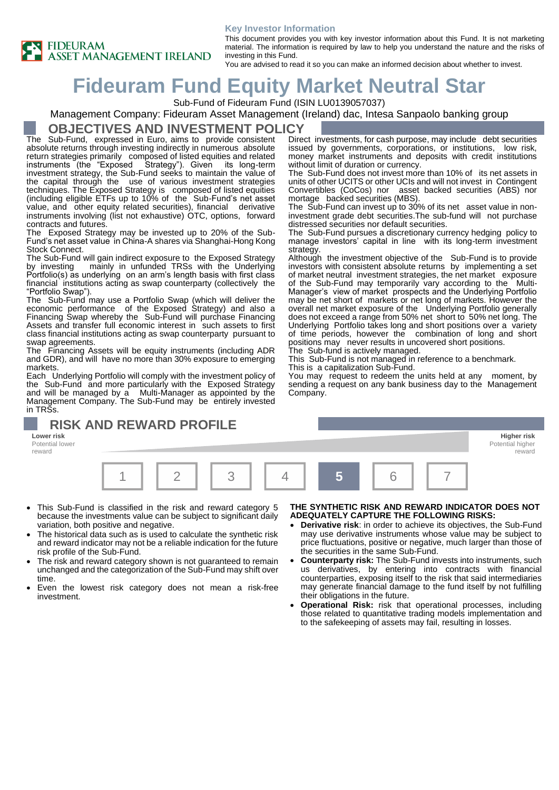#### **Key Investor Information**



This document provides you with key investor information about this Fund. It is not marketing material. The information is required by law to help you understand the nature and the risks of investing in this Fund.

You are advised to read it so you can make an informed decision about whether to invest.

# **Fideuram Fund Equity Market Neutral Star**

Sub-Fund of Fideuram Fund (ISIN LU0139057037)

#### Management Company: Fideuram Asset Management (Ireland) dac, Intesa Sanpaolo banking group

#### **OBJECTIVES AND INVESTMENT POLICY**

The Sub-Fund, expressed in Euro, aims to provide consistent absolute returns through investing indirectly in numerous absolute return strategies primarily composed of listed equities and related<br>instruments (the "Exposed Strategy"). Given its long-term instruments (the "Exposed Strategy"). Given its long-term investment strategy, the Sub-Fund seeks to maintain the value of the capital through the use of various investment strategies techniques. The Exposed Strategy is composed of listed equities (including eligible ETFs up to 10% of the Sub-Fund's net asset value, and other equity related securities), financial derivative instruments involving (list not exhaustive) OTC, options, forward contracts and futures.

The Exposed Strategy may be invested up to 20% of the Sub-Fund's net asset value in China-A shares via Shanghai-Hong Kong Stock Connect.

The Sub-Fund will gain indirect exposure to the Exposed Strategy by investing mainly in unfunded TRSs with the Underlying Portfolio(s) as underlying on an arm's length basis with first class financial institutions acting as swap counterparty (collectively the "Portfolio Swap").

The Sub-Fund may use a Portfolio Swap (which will deliver the economic performance of the Exposed Strategy) and also a Financing Swap whereby the Sub-Fund will purchase Financing Assets and transfer full economic interest in such assets to first class financial institutions acting as swap counterparty pursuant to swap agreements.

The Financing Assets will be equity instruments (including ADR and GDR), and will have no more than 30% exposure to emerging markets.

Each Underlying Portfolio will comply with the investment policy of the Sub-Fund and more particularly with the Exposed Strategy and will be managed by a Multi-Manager as appointed by the Management Company. The Sub-Fund may be entirely invested in TRSs.

## **RISK AND REWARD PROFILE**

**Lower risk Higher risk** Potential lower reward



- This Sub-Fund is classified in the risk and reward category 5 because the investments value can be subject to significant daily variation, both positive and negative.
- The historical data such as is used to calculate the synthetic risk and reward indicator may not be a reliable indication for the future risk profile of the Sub-Fund.
- The risk and reward category shown is not guaranteed to remain unchanged and the categorization of the Sub-Fund may shift over time.
- Even the lowest risk category does not mean a risk-free investment.

#### **THE SYNTHETIC RISK AND REWARD INDICATOR DOES NOT ADEQUATELY CAPTURE THE FOLLOWING RISKS:**

- **Derivative risk:** in order to achieve its objectives, the Sub-Fund may use derivative instruments whose value may be subject to price fluctuations, positive or negative, much larger than those of the securities in the same Sub-Fund.
- **Counterparty risk:** The Sub-Fund invests into instruments, such us derivatives, by entering into contracts with financial counterparties, exposing itself to the risk that said intermediaries may generate financial damage to the fund itself by not fulfilling their obligations in the future.
- **Operational Risk:** risk that operational processes, including those related to quantitative trading models implementation and to the safekeeping of assets may fail, resulting in losses.

Direct investments, for cash purpose, may include debt securities issued by governments, corporations, or institutions, low risk, money market instruments and deposits with credit institutions without limit of duration or currency.

The Sub-Fund does not invest more than 10% of its net assets in units of other UCITS or other UCIs and will not invest in Contingent Convertibles (CoCos) nor asset backed securities (ABS) nor mortage backed securities (MBS).

The Sub-Fund can invest up to 30% of its net asset value in noninvestment grade debt securities.The sub-fund will not purchase distressed securities nor default securities.

The Sub-Fund pursues a discretionary currency hedging policy to manage investors' capital in line with its long-term investment strategy.

Although the investment objective of the Sub-Fund is to provide investors with consistent absolute returns by implementing a set of market neutral investment strategies, the net market exposure of the Sub-Fund may temporarily vary according to the Multi-Manager's view of market prospects and the Underlying Portfolio may be net short of markets or net long of markets. However the overall net market exposure of the Underlying Portfolio generally does not exceed a range from 50% net short to 50% net long. The Underlying Portfolio takes long and short positions over a variety of time periods, however the combination of long and short positions may never results in uncovered short positions.

The Sub-fund is actively managed.

This Sub-Fund is not managed in reference to a benchmark. This is a capitalization Sub-Fund.

You may request to redeem the units held at any moment, by sending a request on any bank business day to the Management Company.

> Potential higher reward